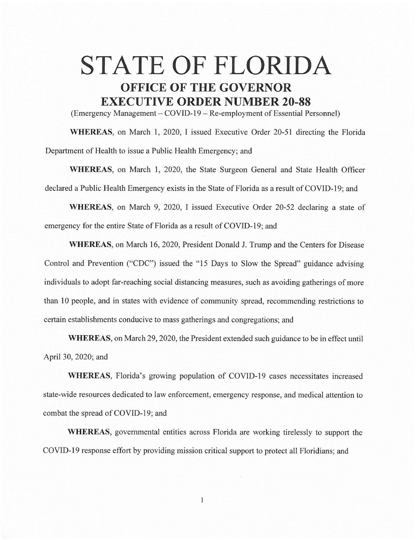## **STATE OF FLORIDA OFFICE OF THE GOVERNOR EXECUTIVE ORDER NUMBER 20-88**

(Emergency Management - COVID-19 - Re-employment of Essential Personnel)

**WHEREAS,** on March **1,** 2020, I issued Executive Order 20-51 directing the Florida Department of Health to issue a Public Health Emergency; and

**WHEREAS,** on March **1,** 2020, the State Surgeon General and State Health Officer declared a Public Health Emergency exists in the State of Florida as a result of COVID-19; and

**WHEREAS,** on March 9, 2020, I issued Executive Order 20-52 declaring a state of emergency for the entire State of Florida as a result of COVJD-19; and

**WHEREAS,** on March 16, 2020, President Donald J. Trump and the Centers for Disease Control and Prevention ("CDC") issued the "15 Days to Slow the Spread" guidance advising individuals to adopt far-reaching social distancing measures, such as avoiding gatherings of more than 10 people, and in states with evidence of community spread, recommending restrictions to certain establishments conducive to mass gatherings and congregations; and

**WHEREAS,** on March 29, 2020, the President extended such guidance to be in effect until April 30, 2020; and

**WHEREAS,** Florida's growing population of COVID-19 cases necessitates increased state-wide resources dedicated to law enforcement, emergency response, and medical attention to combat the spread of COVID-19; and

**WHEREAS,** governmental entities across Florida are working tirelessly to support the COVID-19 response effort by providing mission critical support to protect all Floridians; and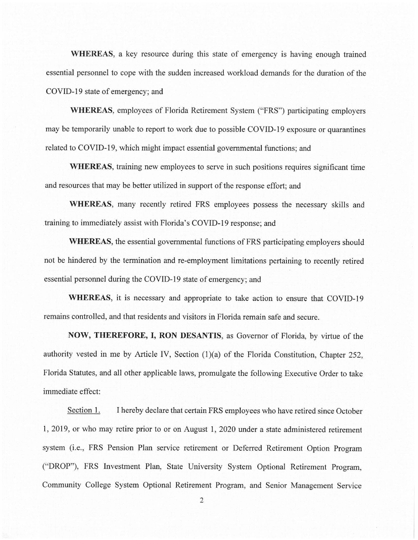**WHEREAS,** a key resource during this state of emergency is having enough trained essential personnel to cope with the sudden increased workload demands for the duration of the COVID-19 state of emergency; and

**WHEREAS,** employees of Florida Retirement System ("FRS") participating employers may be temporarily unable to report to work due to possible COVID-19 exposure or quarantines related to COVID-19, which might impact essential governmental functions; and

**WHEREAS,** training new employees to serve in such positions requires significant time and resources that may be better utilized in support of the response effort; and

**WHEREAS,** many recently retired FRS employees possess the necessary skills and training to immediately assist with Florida's COVID-19 response; and

**WHEREAS,** the essential governmental functions of FRS participating employers should not be hindered by the termination and re-employment limitations pertaining to recently retired essential personnel during the COVID-19 state of emergency; and

**WHEREAS,** it is necessary and appropriate to take action to ensure that COVID-19 remains controlled, and that residents and visitors in Florida remain safe and secure.

**NOW, THEREFORE, I, RON DESANTIS,** as Governor of Florida, by virtue of the authority vested in me by Article IV, Section (1)(a) of the Florida Constitution, Chapter 252, Florida Statutes, and all other applicable laws, promulgate the following Executive Order to take immediate effect:

Section 1. I hereby declare that certain FRS employees who have retired since October 1, 2019, or who may retire prior to or on August **1,** 2020 under a state administered retirement system (i.e., FRS Pension Plan service retirement or Deferred Retirement Option Program ("DROP"), FRS Investment Plan, State University System Optional Retirement Program, Community College System Optional Retirement Program, and Senior Management Service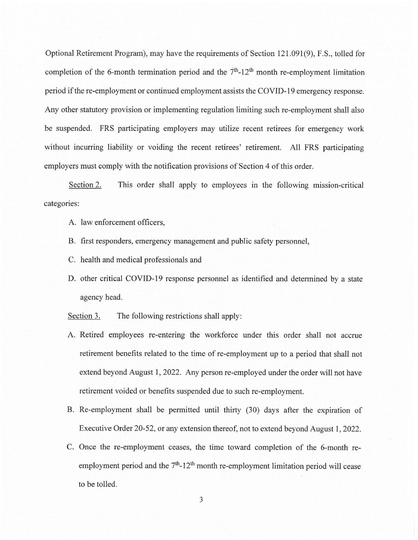Optional Retirement Program), may have the requirements of Section 121.091(9), F.S., tolled for completion of the 6-month termination period and the  $7<sup>th</sup>$ -12<sup>th</sup> month re-employment limitation period if the re-employment or continued employment assists the COVID-19 emergency response. Any other statutory provision or implementing regulation limiting such re-employment shall also be suspended. FRS participating employers may utilize recent retirees for emergency work without incurring liability or voiding the recent retirees' retirement. All FRS participating employers must comply with the notification provisions of Section 4 of this order.

Section 2. categories: This order shall apply to employees in the following mission-critical

- A. law enforcement officers,
- B. first responders, emergency management and public safety personnel,
- C. health and medical professionals and
- D. other critical COVID-19 response personnel as identified and determined by a state agency head.

Section 3. The following restrictions shall apply:

- A. Retired employees re-entering the workforce under this order shall not accrue retirement benefits related to the time of re-employment up to a period that shall not extend beyond August 1, 2022. Any person re-employed under the order will not have retirement voided or benefits suspended due to such re-employment.
- B. Re-employment shall be permitted until thirty (30) days after the expiration of Executive Order 20-52, or any extension thereof, not to extend beyond August I, 2022.
- C. Once the re-employment ceases, the time toward completion of the 6-month reemployment period and the  $7<sup>th</sup>$ -12<sup>th</sup> month re-employment limitation period will cease to be tolled.